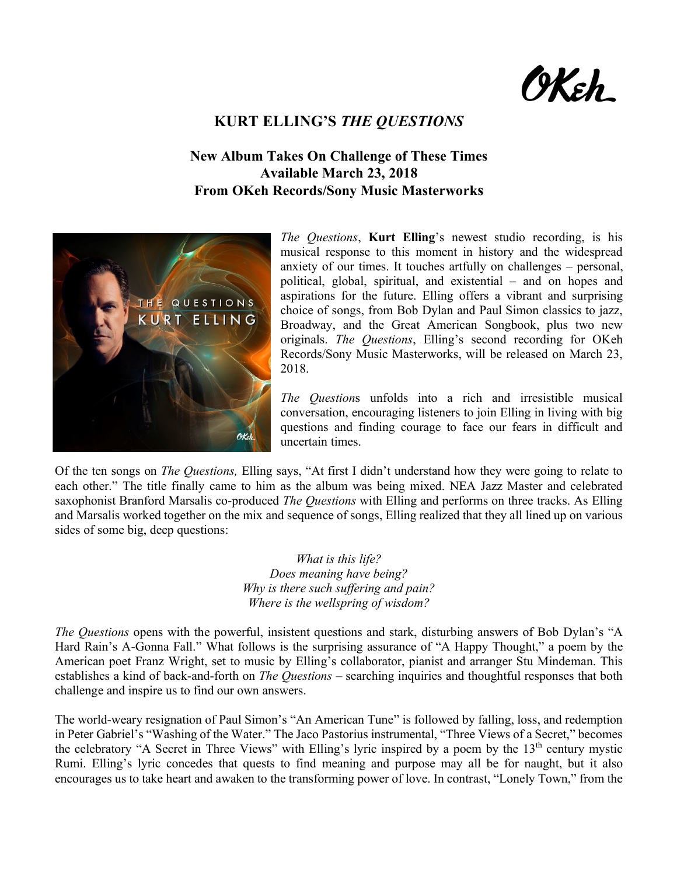9Keh\_

## **KURT ELLING'S** *THE QUESTIONS*

## **New Album Takes On Challenge of These Times Available March 23, 2018 From OKeh Records/Sony Music Masterworks**



*The Questions*, **Kurt Elling**'s newest studio recording, is his musical response to this moment in history and the widespread anxiety of our times. It touches artfully on challenges – personal, political, global, spiritual, and existential – and on hopes and aspirations for the future. Elling offers a vibrant and surprising choice of songs, from Bob Dylan and Paul Simon classics to jazz, Broadway, and the Great American Songbook, plus two new originals. *The Questions*, Elling's second recording for OKeh Records/Sony Music Masterworks, will be released on March 23, 2018.

*The Question*s unfolds into a rich and irresistible musical conversation, encouraging listeners to join Elling in living with big questions and finding courage to face our fears in difficult and uncertain times.

Of the ten songs on *The Questions,* Elling says, "At first I didn't understand how they were going to relate to each other." The title finally came to him as the album was being mixed. NEA Jazz Master and celebrated saxophonist Branford Marsalis co-produced *The Questions* with Elling and performs on three tracks. As Elling and Marsalis worked together on the mix and sequence of songs, Elling realized that they all lined up on various sides of some big, deep questions:

> *What is this life? Does meaning have being? Why is there such suffering and pain? Where is the wellspring of wisdom?*

*The Questions* opens with the powerful, insistent questions and stark, disturbing answers of Bob Dylan's "A Hard Rain's A-Gonna Fall." What follows is the surprising assurance of "A Happy Thought," a poem by the American poet Franz Wright, set to music by Elling's collaborator, pianist and arranger Stu Mindeman. This establishes a kind of back-and-forth on *The Questions* – searching inquiries and thoughtful responses that both challenge and inspire us to find our own answers.

The world-weary resignation of Paul Simon's "An American Tune" is followed by falling, loss, and redemption in Peter Gabriel's "Washing of the Water." The Jaco Pastorius instrumental, "Three Views of a Secret," becomes the celebratory "A Secret in Three Views" with Elling's lyric inspired by a poem by the 13<sup>th</sup> century mystic Rumi. Elling's lyric concedes that quests to find meaning and purpose may all be for naught, but it also encourages us to take heart and awaken to the transforming power of love. In contrast, "Lonely Town," from the